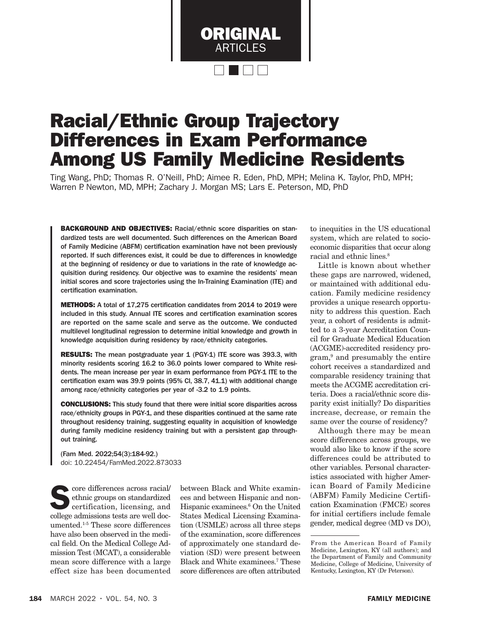

# Racial/Ethnic Group Trajectory Differences in Exam Performance Among US Family Medicine Residents

Ting Wang, PhD; Thomas R. O'Neill, PhD; Aimee R. Eden, PhD, MPH; Melina K. Taylor, PhD, MPH; Warren P. Newton, MD, MPH; Zachary J. Morgan MS; Lars E. Peterson, MD, PhD

BACKGROUND AND OBJECTIVES: Racial/ethnic score disparities on standardized tests are well documented. Such differences on the American Board of Family Medicine (ABFM) certification examination have not been previously reported. If such differences exist, it could be due to differences in knowledge at the beginning of residency or due to variations in the rate of knowledge acquisition during residency. Our objective was to examine the residents' mean initial scores and score trajectories using the In-Training Examination (ITE) and certification examination.

METHODS: A total of 17.275 certification candidates from 2014 to 2019 were included in this study. Annual ITE scores and certification examination scores are reported on the same scale and serve as the outcome. We conducted multilevel longitudinal regression to determine initial knowledge and growth in knowledge acquisition during residency by race/ethnicity categories.

**RESULTS:** The mean postgraduate year 1 (PGY-1) ITE score was 393.3, with minority residents scoring 16.2 to 36.0 points lower compared to White residents. The mean increase per year in exam performance from PGY-1 ITE to the certification exam was 39.9 points (95% CI, 38.7, 41.1) with additional change among race/ethnicity categories per year of -3.2 to 1.9 points.

CONCLUSIONS: This study found that there were initial score disparities across race/ethnicity groups in PGY-1, and these disparities continued at the same rate throughout residency training, suggesting equality in acquisition of knowledge during family medicine residency training but with a persistent gap throughout training.

(Fam Med. 2022;54(3):184-92.) doi: 10.22454/FamMed.2022.873033

 $\bullet$  core differences across racial/ ethnic groups on standardized certification, licensing, and college admissions tests are well documented.1-5 These score differences have also been observed in the medical field. On the Medical College Admission Test (MCAT), a considerable mean score difference with a large effect size has been documented

between Black and White examinees and between Hispanic and non-Hispanic examinees.<sup>6</sup> On the United States Medical Licensing Examination (USMLE) across all three steps of the examination, score differences of approximately one standard deviation (SD) were present between Black and White examinees.7 These score differences are often attributed

to inequities in the US educational system, which are related to socioeconomic disparities that occur along racial and ethnic lines.<sup>8</sup>

Little is known about whether these gaps are narrowed, widened, or maintained with additional education. Family medicine residency provides a unique research opportunity to address this question. Each year, a cohort of residents is admitted to a 3-year Accreditation Council for Graduate Medical Education (ACGME)-accredited residency program,9 and presumably the entire cohort receives a standardized and comparable residency training that meets the ACGME accreditation criteria. Does a racial/ethnic score disparity exist initially? Do disparities increase, decrease, or remain the same over the course of residency?

Although there may be mean score differences across groups, we would also like to know if the score differences could be attributed to other variables. Personal characteristics associated with higher American Board of Family Medicine (ABFM) Family Medicine Certification Examination (FMCE) scores for initial certifiers include female gender, medical degree (MD vs DO),

From the American Board of Family Medicine, Lexington, KY (all authors); and the Department of Family and Community Medicine, College of Medicine, University of Kentucky, Lexington, KY (Dr Peterson).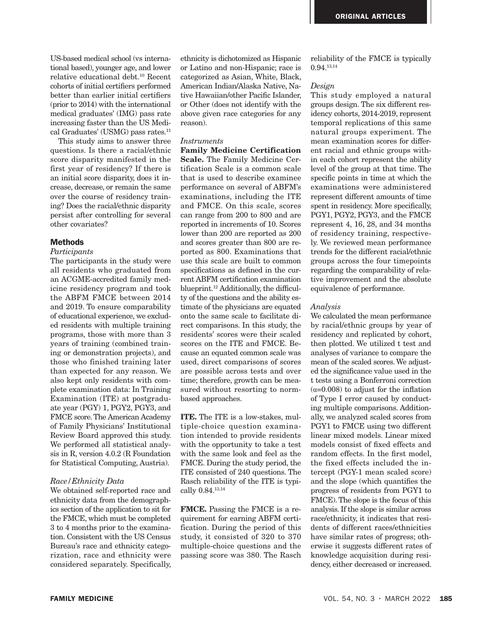US-based medical school (vs international based), younger age, and lower relative educational debt.10 Recent cohorts of initial certifiers performed better than earlier initial certifiers (prior to 2014) with the international medical graduates' (IMG) pass rate increasing faster than the US Medical Graduates' (USMG) pass rates.<sup>11</sup>

This study aims to answer three questions. Is there a racial/ethnic score disparity manifested in the first year of residency? If there is an initial score disparity, does it increase, decrease, or remain the same over the course of residency training? Does the racial/ethnic disparity persist after controlling for several other covariates?

## **Methods**

#### *Participants*

The participants in the study were all residents who graduated from an ACGME-accredited family medicine residency program and took the ABFM FMCE between 2014 and 2019. To ensure comparability of educational experience, we excluded residents with multiple training programs, those with more than 3 years of training (combined training or demonstration projects), and those who finished training later than expected for any reason. We also kept only residents with complete examination data: In Training Examination (ITE) at postgraduate year (PGY) 1, PGY2, PGY3, and FMCE score. The American Academy of Family Physicians' Institutional Review Board approved this study. We performed all statistical analysis in R, version 4.0.2 (R Foundation for Statistical Computing, Austria).

## *Race/Ethnicity Data*

We obtained self-reported race and ethnicity data from the demographics section of the application to sit for the FMCE, which must be completed 3 to 4 months prior to the examination. Consistent with the US Census Bureau's race and ethnicity categorization, race and ethnicity were considered separately. Specifically,

ethnicity is dichotomized as Hispanic or Latino and non-Hispanic; race is categorized as Asian, White, Black, American Indian/Alaska Native, Native Hawaiian/other Pacific Islander, or Other (does not identify with the above given race categories for any reason).

#### *Instruments*

Family Medicine Certification Scale. The Family Medicine Certification Scale is a common scale that is used to describe examinee performance on several of ABFM's examinations, including the ITE and FMCE. On this scale, scores can range from 200 to 800 and are reported in increments of 10. Scores lower than 200 are reported as 200 and scores greater than 800 are reported as 800. Examinations that use this scale are built to common specifications as defined in the current ABFM certification examination blueprint.<sup>12</sup> Additionally, the difficulty of the questions and the ability estimate of the physicians are equated onto the same scale to facilitate direct comparisons. In this study, the residents' scores were their scaled scores on the ITE and FMCE. Because an equated common scale was used, direct comparisons of scores are possible across tests and over time; therefore, growth can be measured without resorting to normbased approaches.

ITE. The ITE is a low-stakes, multiple-choice question examination intended to provide residents with the opportunity to take a test with the same look and feel as the FMCE. During the study period, the ITE consisted of 240 questions. The Rasch reliability of the ITE is typically 0.84.13,14

FMCE. Passing the FMCE is a requirement for earning ABFM certification. During the period of this study, it consisted of 320 to 370 multiple-choice questions and the passing score was 380. The Rasch

reliability of the FMCE is typically 0.94.13,14

#### *Design*

This study employed a natural groups design. The six different residency cohorts, 2014-2019, represent temporal replications of this same natural groups experiment. The mean examination scores for different racial and ethnic groups within each cohort represent the ability level of the group at that time. The specific points in time at which the examinations were administered represent different amounts of time spent in residency. More specifically, PGY1, PGY2, PGY3, and the FMCE represent 4, 16, 28, and 34 months of residency training, respectively. We reviewed mean performance trends for the different racial/ethnic groups across the four timepoints regarding the comparability of relative improvement and the absolute equivalence of performance.

#### *Analysis*

We calculated the mean performance by racial/ethnic groups by year of residency and replicated by cohort, then plotted. We utilized t test and analyses of variance to compare the mean of the scaled scores. We adjusted the significance value used in the t tests using a Bonferroni correction  $(\alpha=0.008)$  to adjust for the inflation of Type I error caused by conducting multiple comparisons. Additionally, we analyzed scaled scores from PGY1 to FMCE using two different linear mixed models. Linear mixed models consist of fixed effects and random effects. In the first model, the fixed effects included the intercept (PGY-1 mean scaled score) and the slope (which quantifies the progress of residents from PGY1 to FMCE). The slope is the focus of this analysis. If the slope is similar across race/ethnicity, it indicates that residents of different races/ethnicities have similar rates of progress; otherwise it suggests different rates of knowledge acquisition during residency, either decreased or increased.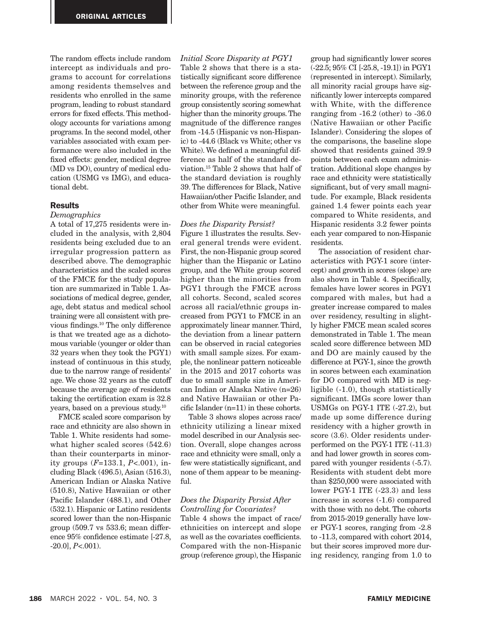The random effects include random intercept as individuals and programs to account for correlations among residents themselves and residents who enrolled in the same program, leading to robust standard errors for fixed effects. This methodology accounts for variations among programs. In the second model, other variables associated with exam performance were also included in the fixed effects: gender, medical degree (MD vs DO), country of medical education (USMG vs IMG), and educational debt.

## **Results**

## *Demographics*

A total of 17,275 residents were included in the analysis, with 2,804 residents being excluded due to an irregular progression pattern as described above. The demographic characteristics and the scaled scores of the FMCE for the study population are summarized in Table 1. Associations of medical degree, gender, age, debt status and medical school training were all consistent with previous findings.10 The only difference is that we treated age as a dichotomous variable (younger or older than 32 years when they took the PGY1) instead of continuous in this study, due to the narrow range of residents' age. We chose 32 years as the cutoff because the average age of residents taking the certification exam is 32.8 years, based on a previous study.10

FMCE scaled score comparison by race and ethnicity are also shown in Table 1. White residents had somewhat higher scaled scores (542.6) than their counterparts in minority groups (*F*=133.1, *P*<.001), including Black (496.5), Asian (516.3), American Indian or Alaska Native (510.8), Native Hawaiian or other Pacific Islander (488.1), and Other (532.1). Hispanic or Latino residents scored lower than the non-Hispanic group (509.7 vs 533.6; mean difference 95% confidence estimate [-27.8, -20.0], *P*<.001).

*Initial Score Disparity at PGY1*  Table 2 shows that there is a statistically significant score difference between the reference group and the minority groups, with the reference group consistently scoring somewhat higher than the minority groups. The magnitude of the difference ranges from -14.5 (Hispanic vs non-Hispanic) to -44.6 (Black vs White; other vs White). We defined a meaningful difference as half of the standard deviation.15 Table 2 shows that half of the standard deviation is roughly 39. The differences for Black, Native Hawaiian/other Pacific Islander, and other from White were meaningful.

## *Does the Disparity Persist?*

Figure 1 illustrates the results. Several general trends were evident. First, the non-Hispanic group scored higher than the Hispanic or Latino group, and the White group scored higher than the minorities from PGY1 through the FMCE across all cohorts. Second, scaled scores across all racial/ethnic groups increased from PGY1 to FMCE in an approximately linear manner. Third, the deviation from a linear pattern can be observed in racial categories with small sample sizes. For example, the nonlinear pattern noticeable in the 2015 and 2017 cohorts was due to small sample size in American Indian or Alaska Native (n*=*26) and Native Hawaiian or other Pacific Islander (n*=*11) in these cohorts.

Table 3 shows slopes across race/ ethnicity utilizing a linear mixed model described in our Analysis section. Overall, slope changes across race and ethnicity were small, only a few were statistically significant, and none of them appear to be meaning $f_{11}$ 

# *Does the Disparity Persist After Controlling for Covariates?*

Table 4 shows the impact of race/ ethnicities on intercept and slope as well as the covariates coefficients. Compared with the non-Hispanic group (reference group), the Hispanic group had significantly lower scores (-22.5; 95% CI [-25.8, -19.1]) in PGY1 (represented in intercept). Similarly, all minority racial groups have significantly lower intercepts compared with White, with the difference ranging from -16.2 (other) to -36.0 (Native Hawaiian or other Pacific Islander). Considering the slopes of the comparisons, the baseline slope showed that residents gained 39.9 points between each exam administration. Additional slope changes by race and ethnicity were statistically significant, but of very small magnitude. For example, Black residents gained 1.4 fewer points each year compared to White residents, and Hispanic residents 3.2 fewer points each year compared to non-Hispanic residents.

The association of resident characteristics with PGY-1 score (intercept) and growth in scores (slope) are also shown in Table 4. Specifically, females have lower scores in PGY1 compared with males, but had a greater increase compared to males over residency, resulting in slightly higher FMCE mean scaled scores demonstrated in Table 1. The mean scaled score difference between MD and DO are mainly caused by the difference at PGY-1, since the growth in scores between each examination for DO compared with MD is negligible (-1.0), though statistically significant. IMGs score lower than USMGs on PGY-1 ITE (-27.2), but made up some difference during residency with a higher growth in score (3.6). Older residents underperformed on the PGY-1 ITE (-11.3) and had lower growth in scores compared with younger residents (-5.7). Residents with student debt more than \$250,000 were associated with lower PGY-1 ITE (-23.3) and less increase in scores (-1.6) compared with those with no debt. The cohorts from 2015-2019 generally have lower PGY-1 scores, ranging from -2.8 to -11.3, compared with cohort 2014, but their scores improved more during residency, ranging from 1.0 to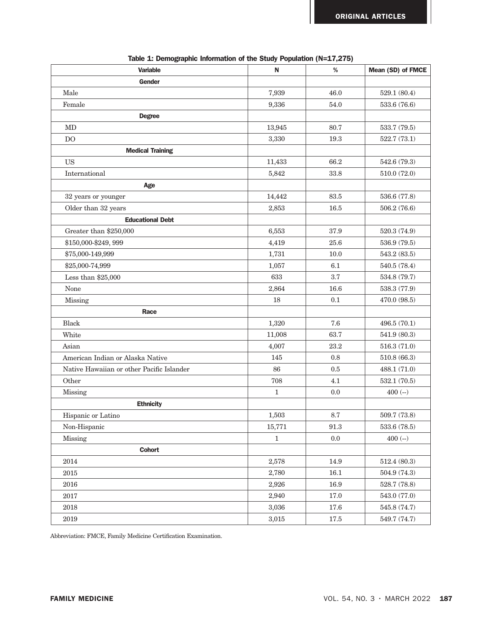| <b>Variable</b>                           | N            | %        | Mean (SD) of FMCE |
|-------------------------------------------|--------------|----------|-------------------|
| <b>Gender</b>                             |              |          |                   |
| Male                                      | 7,939        | 46.0     | 529.1 (80.4)      |
| Female                                    | 9,336        | 54.0     | 533.6 (76.6)      |
| <b>Degree</b>                             |              |          |                   |
| <b>MD</b>                                 | 13,945       | 80.7     | 533.7 (79.5)      |
| DO                                        | 3,330        | $19.3\,$ | 522.7(73.1)       |
| <b>Medical Training</b>                   |              |          |                   |
| <b>US</b>                                 | 11,433       | 66.2     | 542.6 (79.3)      |
| International                             | 5,842        | 33.8     | 510.0 (72.0)      |
| Age                                       |              |          |                   |
| 32 years or younger                       | 14,442       | 83.5     | 536.6 (77.8)      |
| Older than 32 years                       | 2,853        | 16.5     | 506.2 (76.6)      |
| <b>Educational Debt</b>                   |              |          |                   |
| Greater than \$250,000                    | 6,553        | 37.9     | 520.3 (74.9)      |
| \$150,000-\$249, 999                      | 4,419        | 25.6     | 536.9 (79.5)      |
| \$75,000-149,999                          | 1,731        | 10.0     | 543.2 (83.5)      |
| \$25,000-74,999                           | 1,057        | 6.1      | 540.5 (78.4)      |
| Less than $$25,000$                       | 633          | 3.7      | 534.8 (79.7)      |
| None                                      | 2,864        | 16.6     | 538.3 (77.9)      |
| Missing                                   | 18           | 0.1      | 470.0 (98.5)      |
| Race                                      |              |          |                   |
| <b>Black</b>                              | 1,320        | 7.6      | 496.5 (70.1)      |
| White                                     | 11,008       | 63.7     | 541.9 (80.3)      |
| Asian                                     | 4,007        | 23.2     | 516.3(71.0)       |
| American Indian or Alaska Native          | 145          | 0.8      | 510.8(66.3)       |
| Native Hawaiian or other Pacific Islander | 86           | 0.5      | 488.1 (71.0)      |
| Other                                     | 708          | 4.1      | 532.1(70.5)       |
| Missing                                   | $\mathbf{1}$ | 0.0      | $400 (-)$         |
| <b>Ethnicity</b>                          |              |          |                   |
| Hispanic or Latino                        | 1,503        | 8.7      | 509.7 (73.8)      |
| Non-Hispanic                              | 15,771       | 91.3     | 533.6 (78.5)      |
| Missing                                   | $\mathbf{1}$ | $0.0\,$  | $400 (-)$         |
| <b>Cohort</b>                             |              |          |                   |
| 2014                                      | 2,578        | 14.9     | 512.4(80.3)       |
| 2015                                      | 2,780        | 16.1     | 504.9 (74.3)      |
| $\,2016$                                  | 2,926        | 16.9     | 528.7 (78.8)      |
| 2017                                      | 2,940        | 17.0     | 543.0 (77.0)      |
| $\,2018$                                  | 3,036        | 17.6     | 545.8 (74.7)      |
| $\,2019$                                  | 3,015        | 17.5     | 549.7 (74.7)      |

Table 1: Demographic Information of the Study Population (N=17,275)

Abbreviation: FMCE, Family Medicine Certification Examination.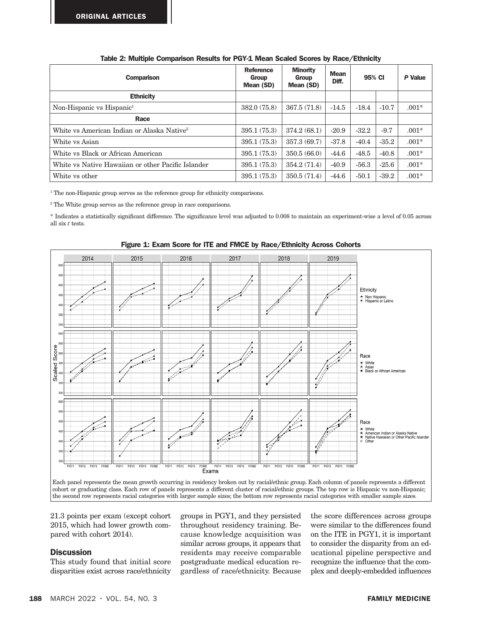| <b>Comparison</b>                                      | Reference<br>Group<br>Mean (SD) | <b>Minority</b><br>Group<br>Mean (SD) | <b>Mean</b><br>Diff. | 95% CI  |         | P Value |
|--------------------------------------------------------|---------------------------------|---------------------------------------|----------------------|---------|---------|---------|
| <b>Ethnicity</b>                                       |                                 |                                       |                      |         |         |         |
| Non-Hispanic vs Hispanic <sup>1</sup>                  | 382.0 (75.8)                    | 367.5(71.8)                           | $-14.5$              | $-18.4$ | $-10.7$ | $.001*$ |
| Race                                                   |                                 |                                       |                      |         |         |         |
| White vs American Indian or Alaska Native <sup>2</sup> | 395.1(75.3)                     | 374.2(68.1)                           | $-20.9$              | $-32.2$ | $-9.7$  | $.001*$ |
| White vs Asian                                         | 395.1(75.3)                     | 357.3(69.7)                           | $-37.8$              | $-40.4$ | $-35.2$ | $.001*$ |
| White vs Black or African American                     | 395.1 (75.3)                    | 350.5(66.0)                           | $-44.6$              | $-48.5$ | $-40.8$ | $.001*$ |
| White vs Native Hawaiian or other Pacific Islander     | 395.1(75.3)                     | 354.2(71.4)                           | $-40.9$              | $-56.3$ | $-25.6$ | $.001*$ |
| White vs other                                         | 395.1(75.3)                     | 350.5(71.4)                           | $-44.6$              | $-50.1$ | $-39.2$ | $.001*$ |

|  | Table 2: Multiple Comparison Results for PGY-1 Mean Scaled Scores by Race/Ethnicity |  |  |  |  |
|--|-------------------------------------------------------------------------------------|--|--|--|--|
|  |                                                                                     |  |  |  |  |

<sup>1</sup> The non-Hispanic group serves as the reference group for ethnicity comparisons.

<sup>2</sup> The White group serves as the reference group in race comparisons.

\* Indicates a statistically significant difference. The significance level was adjusted to 0.008 to maintain an experiment-wise a level of 0.05 across all six *t* tests.





21.3 points per exam (except cohort groups in 1) 2015, which had lower growth compared with cohort 2014).

# **Discussion**

This study found that initial score disparities exist across race/ethnicity groups in PGY1, and they persisted throughout residency training. Because knowledge acquisition was similar across groups, it appears that residents may receive comparable postgraduate medical education regardless of race/ethnicity. Because the score differences across groups were similar to the differences found on the ITE in PGY1, it is important to consider the disparity from an educational pipeline perspective and recognize the influence that the complex and deeply-embedded influences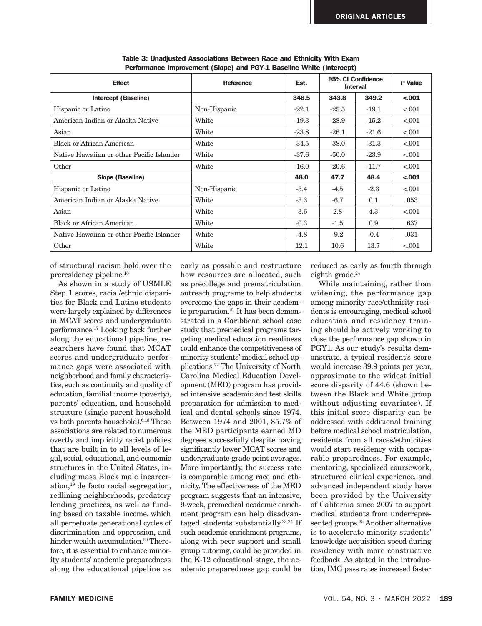| <b>Effect</b>                             | <b>Reference</b> | Est.    | 95% CI Confidence<br><b>Interval</b> |         | P Value |
|-------------------------------------------|------------------|---------|--------------------------------------|---------|---------|
| Intercept (Baseline)                      |                  | 346.5   | 343.8                                | 349.2   | $-.001$ |
| Hispanic or Latino                        | Non-Hispanic     | $-22.1$ | $-25.5$                              | $-19.1$ | < .001  |
| American Indian or Alaska Native          | White            | $-19.3$ | $-28.9$                              | $-15.2$ | < .001  |
| Asian                                     | White            | $-23.8$ | $-26.1$                              | $-21.6$ | < .001  |
| <b>Black or African American</b>          | White            | $-34.5$ | $-38.0$                              | $-31.3$ | < .001  |
| Native Hawaiian or other Pacific Islander | White            | $-37.6$ | $-50.0$                              | $-23.9$ | < .001  |
| Other                                     | White            | $-16.0$ | $-20.6$                              | $-11.7$ | < .001  |
| Slope (Baseline)                          |                  | 48.0    | 47.7                                 | 48.4    | $-.001$ |
| Hispanic or Latino                        | Non-Hispanic     | $-3.4$  | $-4.5$                               | $-2.3$  | < .001  |
| American Indian or Alaska Native          | White            | $-3.3$  | $-6.7$                               | 0.1     | .053    |
| Asian                                     | White            | 3.6     | 2.8                                  | 4.3     | < .001  |
| Black or African American                 | White            | $-0.3$  | $-1.5$                               | 0.9     | .637    |
| Native Hawaiian or other Pacific Islander | White            | $-4.8$  | $-9.2$                               | $-0.4$  | .031    |
| Other                                     | White            | 12.1    | 10.6                                 | 13.7    | < .001  |

Table 3: Unadjusted Associations Between Race and Ethnicity With Exam Performance Improvement (Slope) and PGY-1 Baseline White (Intercept)

of structural racism hold over the preresidency pipeline.16

As shown in a study of USMLE Step 1 scores, racial/ethnic disparities for Black and Latino students were largely explained by differences in MCAT scores and undergraduate performance.17 Looking back further along the educational pipeline, researchers have found that MCAT scores and undergraduate performance gaps were associated with neighborhood and family characteristics, such as continuity and quality of education, familial income (poverty), parents' education, and household structure (single parent household vs both parents household).6,18 These associations are related to numerous overtly and implicitly racist policies that are built in to all levels of legal, social, educational, and economic structures in the United States, including mass Black male incarceration,19 de facto racial segregation, redlining neighborhoods, predatory lending practices, as well as funding based on taxable income, which all perpetuate generational cycles of discrimination and oppression, and hinder wealth accumulation.<sup>20</sup> Therefore, it is essential to enhance minority students' academic preparedness along the educational pipeline as

early as possible and restructure how resources are allocated, such as precollege and prematriculation outreach programs to help students overcome the gaps in their academic preparation.21 It has been demonstrated in a Caribbean school case study that premedical programs targeting medical education readiness could enhance the competitiveness of minority students' medical school applications.22 The University of North Carolina Medical Education Development (MED) program has provided intensive academic and test skills preparation for admission to medical and dental schools since 1974. Between 1974 and 2001, 85.7% of the MED participants earned MD degrees successfully despite having significantly lower MCAT scores and undergraduate grade point averages. More importantly, the success rate is comparable among race and ethnicity. The effectiveness of the MED program suggests that an intensive, 9-week, premedical academic enrichment program can help disadvantaged students substantially. $23,24$  If such academic enrichment programs, along with peer support and small group tutoring, could be provided in the K-12 educational stage, the academic preparedness gap could be

reduced as early as fourth through eighth grade.<sup>24</sup>

While maintaining, rather than widening, the performance gap among minority race/ethnicity residents is encouraging, medical school education and residency training should be actively working to close the performance gap shown in PGY1. As our study's results demonstrate, a typical resident's score would increase 39.9 points per year, approximate to the widest initial score disparity of 44.6 (shown between the Black and White group without adjusting covariates). If this initial score disparity can be addressed with additional training before medical school matriculation, residents from all races/ethnicities would start residency with comparable preparedness. For example, mentoring, specialized coursework, structured clinical experience, and advanced independent study have been provided by the University of California since 2007 to support medical students from underrepresented groups.<sup>25</sup> Another alternative is to accelerate minority students' knowledge acquisition speed during residency with more constructive feedback. As stated in the introduction, IMG pass rates increased faster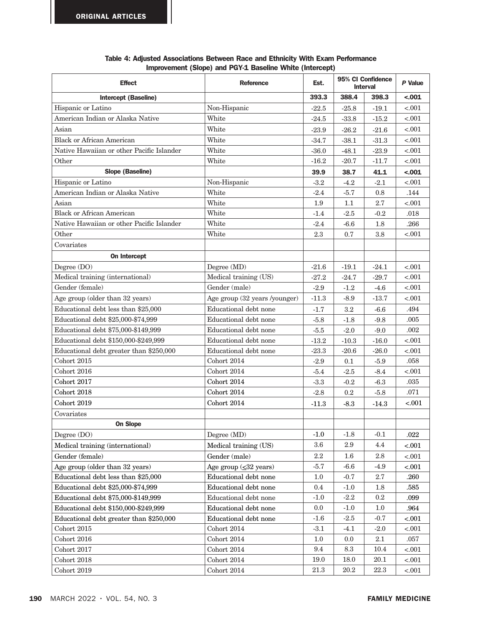| <b>Effect</b>                             | <b>Reference</b>                    | Est.                    | 95% CI Confidence<br><b>Interval</b> |           | P Value  |
|-------------------------------------------|-------------------------------------|-------------------------|--------------------------------------|-----------|----------|
| <b>Intercept (Baseline)</b>               |                                     | 393.3<br>388.4<br>398.3 |                                      | $-.001$   |          |
| Hispanic or Latino                        | Non-Hispanic                        | $-22.5$                 | $-25.8$                              | $-19.1$   | $-.001$  |
| American Indian or Alaska Native          | White                               | -24.5                   | $-33.8$                              | $-15.2$   | $-.001$  |
| Asian                                     | White                               | $-23.9$                 | $-26.2$                              | $-21.6$   | < 0.001  |
| <b>Black or African American</b>          | White                               | $-34.7$                 | $-38.1$                              | $-31.3$   | $-.001$  |
| Native Hawaiian or other Pacific Islander | White                               | $-36.0$                 | $-48.1$                              | $-23.9$   | $-.001$  |
| Other                                     | White                               | $-16.2$                 | $-20.7$                              | $-11.7$   | $-.001$  |
| <b>Slope (Baseline)</b>                   |                                     | 39.9                    | 38.7                                 | 41.1      | $-.001$  |
| Hispanic or Latino                        | Non-Hispanic                        | $-3.2$                  | $-4.2$                               | $-2.1$    | $-.001$  |
| American Indian or Alaska Native          | White                               | $-2.4$                  | $-5.7$                               | 0.8       | .144     |
| Asian                                     | White                               | 1.9                     | $1.1\,$                              | 2.7       | $-.001$  |
| <b>Black or African American</b>          | White                               | $-1.4$                  | $-2.5$                               | $-0.2$    | $.018\,$ |
| Native Hawaiian or other Pacific Islander | White                               | $-2.4$                  | $-6.6$                               | 1.8       | .266     |
| Other                                     | White                               | 2.3                     | 0.7                                  | $3.8\,$   | $-.001$  |
| Covariates                                |                                     |                         |                                      |           |          |
| On Intercept                              |                                     |                         |                                      |           |          |
| Degree (DO)                               | Degree (MD)                         | $-21.6$                 | $-19.1$                              | $-24.1$   | $-.001$  |
| Medical training (international)          | Medical training (US)               | $-27.2$                 | $-24.7$                              | $-29.7$   | $-.001$  |
| Gender (female)                           | Gender (male)                       | $-2.9$                  | $-1.2$                               | $-4.6$    | $-.001$  |
| Age group (older than 32 years)           | Age group (32 years /younger)       | $-11.3$                 | $-8.9$                               | $-13.7$   | $-.001$  |
| Educational debt less than \$25,000       | Educational debt none               | $-1.7$                  | $\!3.2\!$                            | $-6.6$    | .494     |
| Educational debt \$25,000-\$74,999        | Educational debt none               | $-5.8$                  | $-1.8$                               | $-9.8$    | .005     |
| Educational debt \$75,000-\$149,999       | Educational debt none               | $-5.5$                  | $-2.0$                               | $-9.0$    | .002     |
| Educational debt \$150,000-\$249,999      | Educational debt none               | $-13.2$                 | $-10.3$                              | $-16.0$   | $-.001$  |
| Educational debt greater than \$250,000   | Educational debt none               | $-23.3$                 | $-20.6$                              | $-26.0$   | $-.001$  |
| Cohort 2015                               | Cohort 2014                         | $-2.9$                  | 0.1                                  | $-5.9$    | .058     |
| Cohort 2016                               | Cohort 2014                         | $-5.4$                  | $-2.5$                               | $-8.4$    | $-.001$  |
| Cohort 2017                               | Cohort 2014                         | $-3.3$                  | $-0.2$                               | $-6.3$    | $.035\,$ |
| Cohort 2018                               | Cohort 2014                         | $-2.8$                  | $0.2\,$                              | $-5.8$    | .071     |
| <b>Cohort 2019</b>                        | Cohort 2014                         | -11.3                   | $-8.3$                               | $-14.3$   | $-.001$  |
| Covariates                                |                                     |                         |                                      |           |          |
| <b>On Slope</b>                           |                                     |                         |                                      |           |          |
| Degree (DO)                               | Degree (MD)                         | $-1.0$                  | $-1.8$                               | $-0.1$    | .022     |
| Medical training (international)          | Medical training (US)               | 3.6                     | 2.9                                  | 4.4       | < .001   |
| Gender (female)                           | Gender (male)                       | $2.2\,$                 | $1.6\,$                              | $2.8\,$   | < .001   |
| Age group (older than 32 years)           | Age group $(\leq 32 \text{ years})$ | $-5.7$                  | $-6.6$                               | $-4.9$    | $-.001$  |
| Educational debt less than \$25,000       | Educational debt none               | $1.0\,$                 | $-0.7$                               | 2.7       | .260     |
| Educational debt \$25,000-\$74,999        | Educational debt none               | $0.4\,$                 | $-1.0$                               | 1.8       | .585     |
| Educational debt \$75,000-\$149,999       | Educational debt none               | $-1.0$                  | $-2.2$                               | $\rm 0.2$ | .099     |
| Educational debt \$150,000-\$249,999      | Educational debt none               | 0.0                     | $-1.0$                               | 1.0       | .964     |
| Educational debt greater than \$250,000   | Educational debt none               | $-1.6$                  | $-2.5$                               | $-0.7$    | < .001   |
| Cohort 2015                               | Cohort 2014                         | $-3.1$                  | $-4.1$                               | $-2.0$    | $-.001$  |
| Cohort 2016                               | Cohort 2014                         | 1.0                     | 0.0                                  | 2.1       | $.057\,$ |
| Cohort 2017                               | Cohort $2014$                       | 9.4                     | 8.3                                  | 10.4      | $-.001$  |
| Cohort 2018                               | Cohort $2014$                       | 19.0                    | 18.0                                 | 20.1      | $-.001$  |
| Cohort 2019                               | Cohort 2014                         | $21.3\,$                | 20.2                                 | 22.3      | $-.001$  |

| Table 4: Adjusted Associations Between Race and Ethnicity With Exam Performance |  |  |  |
|---------------------------------------------------------------------------------|--|--|--|
| Improvement (Slope) and PGY-1 Baseline White (Intercept)                        |  |  |  |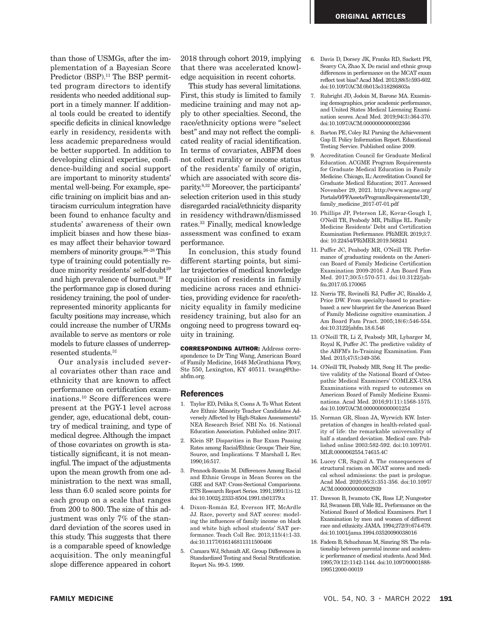than those of USMGs, after the implementation of a Bayesian Score Predictor (BSP).<sup>11</sup> The BSP permitted program directors to identify residents who needed additional support in a timely manner. If additional tools could be created to identify specific deficits in clinical knowledge early in residency, residents with less academic preparedness would be better supported. In addition to developing clinical expertise, confidence-building and social support are important to minority students' mental well-being. For example, specific training on implicit bias and antiracism curriculum integration have been found to enhance faculty and students' awareness of their own implicit biases and how these biases may affect their behavior toward members of minority groups.26–28 This type of training could potentially reduce minority residents' self-doubt<sup>29</sup> and high prevalence of burnout.30 If the performance gap is closed during residency training, the pool of underrepresented minority applicants for faculty positions may increase, which could increase the number of URMs available to serve as mentors or role models to future classes of underrepresented students.31

Our analysis included several covariates other than race and ethnicity that are known to affect performance on certification examinations.10 Score differences were present at the PGY-1 level across gender, age, educational debt, country of medical training, and type of medical degree. Although the impact of those covariates on growth is statistically significant, it is not meaningful. The impact of the adjustments upon the mean growth from one administration to the next was small, less than 6.0 scaled score points for each group on a scale that ranges from 200 to 800. The size of this adjustment was only 7% of the standard deviation of the scores used in this study. This suggests that there is a comparable speed of knowledge acquisition. The only meaningful slope difference appeared in cohort

2018 through cohort 2019, implying that there was accelerated knowledge acquisition in recent cohorts.

This study has several limitations. First, this study is limited to family medicine training and may not apply to other specialties. Second, the race/ethnicity options were "select best" and may not reflect the complicated reality of racial identification. In terms of covariates, ABFM does not collect rurality or income status of the residents' family of origin, which are associated with score disparity.8,32 Moreover, the participants' selection criterion used in this study disregarded racial/ethnicity disparity in residency withdrawn/dismissed rates.33 Finally, medical knowledge assessment was confined to exam performance.

In conclusion, this study found different starting points, but similar trajectories of medical knowledge acquisition of residents in family medicine across races and ethnicities, providing evidence for race/ethnicity equality in family medicine residency training, but also for an ongoing need to progress toward equity in training.

CORRESPONDING AUTHOR: Address correspondence to Dr Ting Wang, American Board of Family Medicine, 1648 McGrathiana Pkwy, Ste 550, Lexington, KY 40511. twang@theabfm.org.

#### References

- 1. Taylor ED, Pelika S, Coons A. To What Extent Are Ethnic Minority Teacher Candidates Adversely Affected by High-Stakes Assessments? NEA Research Brief. NBI No. 16. National Education Association. Published online 2017.
- 2. Klein SP. Disparities in Bar Exam Passing Rates among Racial/Ethnic Groups: Their Size, Source, and Implications. T Marshall L Rev. 1990;16:517.
- 3. Pennock‐Román M. Differences Among Racial and Ethnic Groups in Mean Scores on the GRE and SAT: Cross-Sectional Comparisons. ETS Research Report Series. 1991;1991(1):i-12. doi:10.1002/j.2333-8504.1991.tb01379.x
- 4. Dixon-Román EJ, Everson HT, McArdle JJ. Race, poverty and SAT scores: modeling the influences of family income on black and white high school students' SAT performance. Teach Coll Rec. 2013;115(4):1-33. doi:10.1177/016146811311500406
- 5. Camara WJ, Schmidt AE. Group Differences in Standardized Testing and Social Stratification. Report No. 99-5. 1999.
- 6. Davis D, Dorsey JK, Franks RD, Sackett PR, Searcy CA, Zhao X. Do racial and ethnic group differences in performance on the MCAT exam reflect test bias? Acad Med. 2013;88(5):593-602. doi:10.1097/ACM.0b013e318286803a
- 7. Rubright JD, Jodoin M, Barone MA. Examining demographics, prior academic performance, and United States Medical Licensing Examination scores. Acad Med. 2019;94(3):364-370. doi:10.1097/ACM.0000000000002366
- 8. Barton PE, Coley RJ. Parsing the Achievement Gap II. Policy Information Report. Educational Testing Service. Published online 2009.
- 9. Accreditation Council for Graduate Medical Education. ACGME Program Requirements for Graduate Medical Education in Family Medicine. Chicago, IL: Accreditation Council for Graduate Medical Education; 2017. Accessed November 29, 2021. http://www.acgme.org/ Portals/0/PFAssets/ProgramRequirements/120\_ family\_medicine\_2017-07-01.pdf
- 10. Phillips JP, Peterson LE, Kovar-Gough I, O'Neill TR, Peabody MR, Phillips RL. Family Medicine Residents' Debt and Certification Examination Performance. PRiMER. 2019;3:7. doi: 10.22454/PRiMER.2019.568241
- 11. Puffer JC, Peabody MR, O'Neill TR. Performance of graduating residents on the American Board of Family Medicine Certification Examination 2009-2016. J Am Board Fam Med. 2017;30(5):570-571. doi:10.3122/jabfm.2017.05.170065
- 12. Norris TE, Rovinelli RJ, Puffer JC, Rinaldo J, Price DW. From specialty-based to practicebased: a new blueprint for the American Board of Family Medicine cognitive examination. J Am Board Fam Pract. 2005;18(6):546-554. doi:10.3122/jabfm.18.6.546
- 13. O'Neill TR, Li Z, Peabody MR, Lybarger M, Royal K, Puffer JC. The predictive validity of the ABFM's In-Training Examination. Fam Med. 2015;47(5):349-356.
- 14. O'Neill TR, Peabody MR, Song H. The predictive validity of the National Board of Osteopathic Medical Examiners' COMLEX-USA Examinations with regard to outcomes on American Board of Family Medicine Examinations. Acad Med. 2016;91(11):1568-1575. doi:10.1097/ACM.0000000000001254
- 15. Norman GR, Sloan JA, Wyrwich KW. Interpretation of changes in health-related quality of life: the remarkable universality of half a standard deviation. Medical care. Published online 2003:582-592. doi:10.1097/01. MLR.0000062554.74615.4C
- 16. Lucey CR, Saguil A. The consequences of structural racism on MCAT scores and medical school admissions: the past is prologue. Acad Med. 2020;95(3):351-356. doi:10.1097/ ACM.0000000000002939
- 17. Dawson B, Iwamoto CK, Ross LP, Nungester RJ, Swanson DB, Volle RL. Performance on the National Board of Medical Examiners. Part I Examination by men and women of different race and ethnicity. JAMA. 1994;272(9):674-679. doi:10.1001/jama.1994.03520090038016
- 18. Fadem B, Schuchman M, Simring SS. The relationship between parental income and academic performance of medical students. Acad Med. 1995;70(12):1142-1144. doi:10.1097/00001888- 199512000-00019